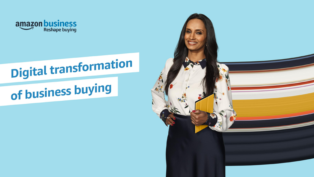

# **Digital transformation**

# of business buying

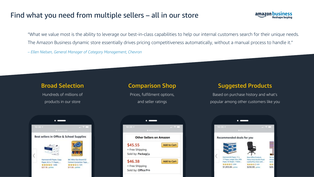## Find what you need from multiple sellers – all in our store



"What we value most is the ability to leverage our best-in-class capabilities to help our internal customers search for their unique needs. The Amazon Business dynamic store essentially drives pricing competitiveness automatically, without a manual process to handle it." *– Ellen Nielsen, General Manager of Category Management, Chevron*

Hundreds of millions of products in our store



Prices, fulfillment options, and seller ratings



### Broad Selection **Comparison Shop** Suggested Products

Based on purchase history and what's popular among other customers like you

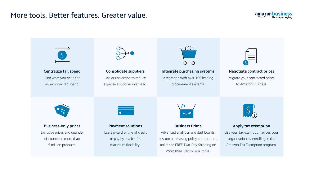## More tools. Better features. Greater value.



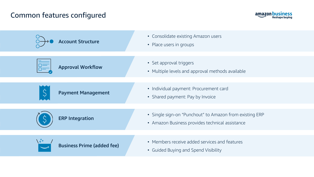# Common features configured



| <b>Account Structure</b>          | • Consolidate existing Amazon users<br>• Place users in groups                                             |
|-----------------------------------|------------------------------------------------------------------------------------------------------------|
| <b>Approval Workflow</b>          | • Set approval triggers<br>• Multiple levels and approval methods available                                |
| <b>Payment Management</b>         | • Individual payment: Procurement card<br>• Shared payment: Pay by Invoice                                 |
| <b>ERP Integration</b>            | • Single sign-on "Punchout" to Amazon from existing ERP<br>• Amazon Business provides technical assistance |
| <b>Business Prime (added fee)</b> | • Members receive added services and features<br><b>Guided Buying and Spend Visibility</b><br>$\bullet$    |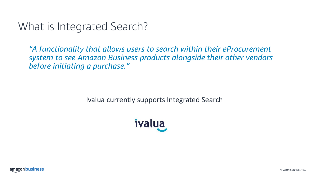# What is Integrated Search?

*"A functionality that allows users to search within their eProcurement system to see Amazon Business products alongside their other vendors before initiating a purchase."*

Ivalua currently supports Integrated Search



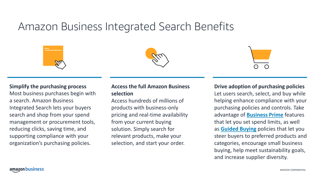# Amazon Business Integrated Search Benefits







#### **Simplify the purchasing process**

Most business purchases begin with a search. Amazon Business Integrated Search lets your buyers search and shop from your spend management or procurement tools, reducing clicks, saving time, and supporting compliance with your organization's purchasing policies.

### **Access the full Amazon Business selection**

Access hundreds of millions of products with business-only pricing and real-time availability from your current buying solution. Simply search for relevant products, make your selection, and start your order.

#### **Drive adoption of purchasing policies**

Let users search, select, and buy while helping enhance compliance with your purchasing policies and controls. Take advantage of **[Business Prime](https://business.amazon.com/en/find-solutions/business-prime)** features that let you set spend limits, as well as **[Guided Buying](https://www.amazon.com/ab/ccp-portal/guided-buying/benefits?ref_=b2b_adp_mcs_ints_211109)** policies that let you steer buyers to preferred products and categories, encourage small business buying, help meet sustainability goals, and increase supplier diversity.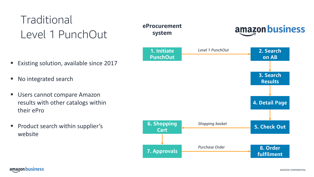# **Traditional** Level 1 PunchOut

- Existing solution, available since 2017
- No integrated search
- Users cannot compare Amazon results with other catalogs within their ePro
- Product search within supplier's website

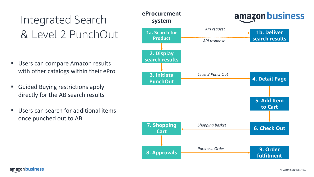# Integrated Search & Level 2 PunchOut

- Users can compare Amazon results with other catalogs within their ePro
- Guided Buying restrictions apply directly for the AB search results
- Users can search for additional items once punched out to AB